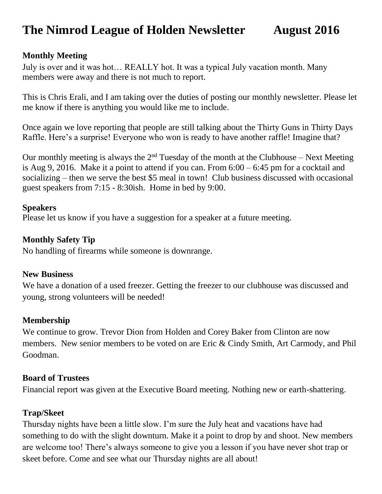# **The Nimrod League of Holden Newsletter August 2016**

#### **Monthly Meeting**

July is over and it was hot… REALLY hot. It was a typical July vacation month. Many members were away and there is not much to report.

This is Chris Erali, and I am taking over the duties of posting our monthly newsletter. Please let me know if there is anything you would like me to include.

Once again we love reporting that people are still talking about the Thirty Guns in Thirty Days Raffle. Here's a surprise! Everyone who won is ready to have another raffle! Imagine that?

Our monthly meeting is always the  $2<sup>nd</sup>$  Tuesday of the month at the Clubhouse – Next Meeting is Aug 9, 2016. Make it a point to attend if you can. From 6:00 – 6:45 pm for a cocktail and socializing – then we serve the best \$5 meal in town! Club business discussed with occasional guest speakers from 7:15 - 8:30ish. Home in bed by 9:00.

#### **Speakers**

Please let us know if you have a suggestion for a speaker at a future meeting.

#### **Monthly Safety Tip**

No handling of firearms while someone is downrange.

#### **New Business**

We have a donation of a used freezer. Getting the freezer to our clubhouse was discussed and young, strong volunteers will be needed!

#### **Membership**

We continue to grow. Trevor Dion from Holden and Corey Baker from Clinton are now members. New senior members to be voted on are Eric & Cindy Smith, Art Carmody, and Phil Goodman.

#### **Board of Trustees**

Financial report was given at the Executive Board meeting. Nothing new or earth-shattering.

### **Trap/Skeet**

Thursday nights have been a little slow. I'm sure the July heat and vacations have had something to do with the slight downturn. Make it a point to drop by and shoot. New members are welcome too! There's always someone to give you a lesson if you have never shot trap or skeet before. Come and see what our Thursday nights are all about!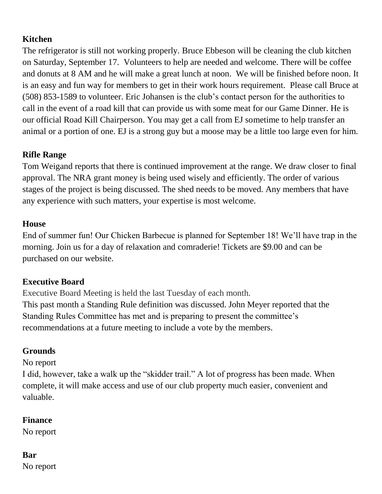### **Kitchen**

The refrigerator is still not working properly. Bruce Ebbeson will be cleaning the club kitchen on Saturday, September 17. Volunteers to help are needed and welcome. There will be coffee and donuts at 8 AM and he will make a great lunch at noon. We will be finished before noon. It is an easy and fun way for members to get in their work hours requirement. Please call Bruce at (508) 853-1589 to volunteer. Eric Johansen is the club's contact person for the authorities to call in the event of a road kill that can provide us with some meat for our Game Dinner. He is our official Road Kill Chairperson. You may get a call from EJ sometime to help transfer an animal or a portion of one. EJ is a strong guy but a moose may be a little too large even for him.

### **Rifle Range**

Tom Weigand reports that there is continued improvement at the range. We draw closer to final approval. The NRA grant money is being used wisely and efficiently. The order of various stages of the project is being discussed. The shed needs to be moved. Any members that have any experience with such matters, your expertise is most welcome.

### **House**

End of summer fun! Our Chicken Barbecue is planned for September 18! We'll have trap in the morning. Join us for a day of relaxation and comraderie! Tickets are \$9.00 and can be purchased on our website.

### **Executive Board**

Executive Board Meeting is held the last Tuesday of each month. This past month a Standing Rule definition was discussed. John Meyer reported that the Standing Rules Committee has met and is preparing to present the committee's recommendations at a future meeting to include a vote by the members.

## **Grounds**

### No report

I did, however, take a walk up the "skidder trail." A lot of progress has been made. When complete, it will make access and use of our club property much easier, convenient and valuable.

### **Finance**

No report

# **Bar**

No report